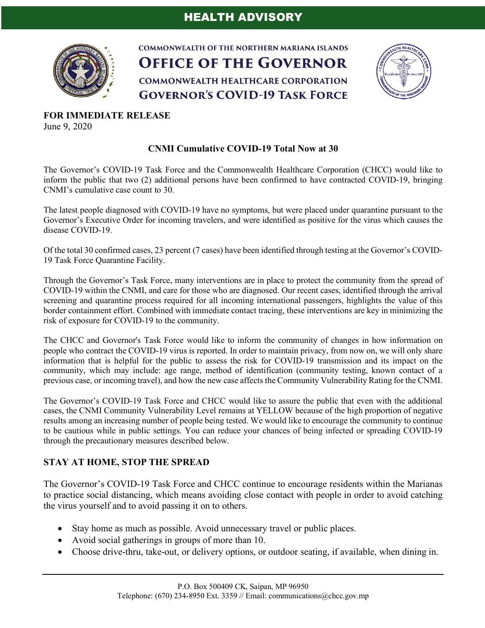

**COMMONWEALTH OF THE NORTHERN MARIANA ISLANDS OFFICE OF THE GOVERNOR COMMONWEALTH HEALTHCARE CORPORATION GOVERNOR'S COVID-19 TASK FORCE** 



**FOR IMMEDIATE RELEASE** June 9, 2020

## **CNMI Cumulative COVID-19 Total Now at 30**

The Governor's COVID-19 Task Force and the Commonwealth Healthcare Corporation (CHCC) would like to inform the public that two (2) additional persons have been confirmed to have contracted COVID-19, bringing CNMI's cumulative case count to 30.

The latest people diagnosed with COVID-19 have no symptoms, but were placed under quarantine pursuant to the Governor's Executive Order for incoming travelers, and were identified as positive for the virus which causes the disease COVID-19.

Of the total 30 confirmed cases, 23 percent (7 cases) have been identified through testing at the Governor's COVID-19 Task Force Quarantine Facility.

Through the Governor's Task Force, many interventions are in place to protect the community from the spread of COVID-19 within the CNMI, and care for those who are diagnosed. Our recent cases, identified through the arrival screening and quarantine process required for all incoming international passengers, highlights the value of this border containment effort. Combined with immediate contact tracing, these interventions are key in minimizing the risk of exposure for COVID-19 to the community.

The CHCC and Governor's Task Force would like to inform the community of changes in how information on people who contract the COVID-19 virus is reported. In order to maintain privacy, from now on, we will only share information that is helpful for the public to assess the risk for COVID-19 transmission and its impact on the community, which may include: age range, method of identification (community testing, known contact of a previous case, or incoming travel), and how the new case affects the Community Vulnerability Rating for the CNMI.

The Governor's COVID-19 Task Force and CHCC would like to assure the public that even with the additional cases, the CNMI Community Vulnerability Level remains at YELLOW because of the high proportion of negative results among an increasing number of people being tested. We would like to encourage the community to continue to be cautious while in public settings. You can reduce your chances of being infected or spreading COVID-19 through the precautionary measures described below.

## **STAY AT HOME, STOP THE SPREAD**

The Governor's COVID-19 Task Force and CHCC continue to encourage residents within the Marianas to practice social distancing, which means avoiding close contact with people in order to avoid catching the virus yourself and to avoid passing it on to others.

- Stay home as much as possible. Avoid unnecessary travel or public places.
- Avoid social gatherings in groups of more than 10.
- Choose drive-thru, take-out, or delivery options, or outdoor seating, if available, when dining in.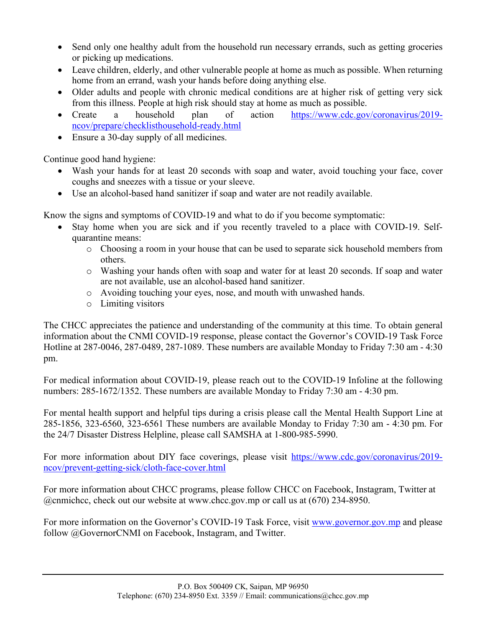- Send only one healthy adult from the household run necessary errands, such as getting groceries or picking up medications.
- Leave children, elderly, and other vulnerable people at home as much as possible. When returning home from an errand, wash your hands before doing anything else.
- Older adults and people with chronic medical conditions are at higher risk of getting very sick from this illness. People at high risk should stay at home as much as possible.
- Create a household plan of action https://www.cdc.gov/coronavirus/2019ncov/prepare/checklisthousehold-ready.html
- Ensure a 30-day supply of all medicines.

Continue good hand hygiene:

- Wash your hands for at least 20 seconds with soap and water, avoid touching your face, cover coughs and sneezes with a tissue or your sleeve.
- Use an alcohol-based hand sanitizer if soap and water are not readily available.

Know the signs and symptoms of COVID-19 and what to do if you become symptomatic:

- Stay home when you are sick and if you recently traveled to a place with COVID-19. Selfquarantine means:
	- o Choosing a room in your house that can be used to separate sick household members from others.
	- o Washing your hands often with soap and water for at least 20 seconds. If soap and water are not available, use an alcohol-based hand sanitizer.
	- o Avoiding touching your eyes, nose, and mouth with unwashed hands.
	- o Limiting visitors

The CHCC appreciates the patience and understanding of the community at this time. To obtain general information about the CNMI COVID-19 response, please contact the Governor's COVID-19 Task Force Hotline at 287-0046, 287-0489, 287-1089. These numbers are available Monday to Friday 7:30 am - 4:30 pm.

For medical information about COVID-19, please reach out to the COVID-19 Infoline at the following numbers: 285-1672/1352. These numbers are available Monday to Friday 7:30 am - 4:30 pm.

For mental health support and helpful tips during a crisis please call the Mental Health Support Line at 285-1856, 323-6560, 323-6561 These numbers are available Monday to Friday 7:30 am - 4:30 pm. For the 24/7 Disaster Distress Helpline, please call SAMSHA at 1-800-985-5990.

For more information about DIY face coverings, please visit https://www.cdc.gov/coronavirus/2019ncov/prevent-getting-sick/cloth-face-cover.html

For more information about CHCC programs, please follow CHCC on Facebook, Instagram, Twitter at @cnmichcc, check out our website at www.chcc.gov.mp or call us at (670) 234-8950.

For more information on the Governor's COVID-19 Task Force, visit www.governor.gov.mp and please follow @GovernorCNMI on Facebook, Instagram, and Twitter.